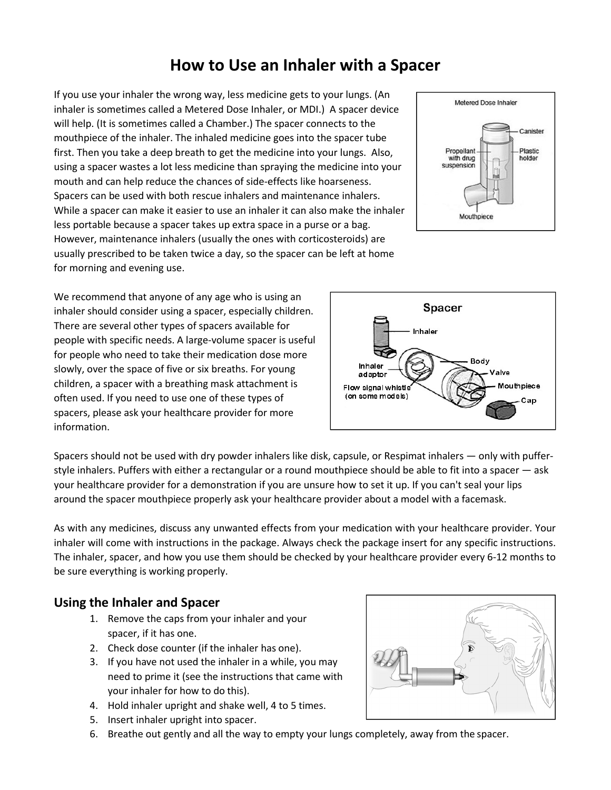# **How to Use an Inhaler with a Spacer**

If you use your inhaler the wrong way, less medicine gets to your lungs. (An inhaler is sometimes called a Metered Dose Inhaler, or MDI.) A spacer device will help. (It is sometimes called a Chamber.) The spacer connects to the mouthpiece of the inhaler. The inhaled medicine goes into the spacer tube first. Then you take a deep breath to get the medicine into your lungs. Also, using a spacer wastes a lot less medicine than spraying the medicine into your mouth and can help reduce the chances of side-effects like hoarseness. Spacers can be used with both rescue inhalers and maintenance inhalers. While a spacer can make it easier to use an inhaler it can also make the inhaler less portable because a spacer takes up extra space in a purse or a bag. However, maintenance inhalers (usually the ones with corticosteroids) are usually prescribed to be taken twice a day, so the spacer can be left at home for morning and evening use.



We recommend that anyone of any age who is using an inhaler should consider using a spacer, especially children. There are several other types of spacers available for people with specific needs. A large-volume spacer is useful for people who need to take their medication dose more slowly, over the space of five or six breaths. For young children, a spacer with a breathing mask attachment is often used. If you need to use one of these types of spacers, please ask your healthcare provider for more information.



Spacers should not be used with dry powder inhalers like disk, capsule, or Respimat inhalers — only with pufferstyle inhalers. Puffers with either a rectangular or a round mouthpiece should be able to fit into a spacer — ask your healthcare provider for a demonstration if you are unsure how to set it up. If you can't seal your lips around the spacer mouthpiece properly ask your healthcare provider about a model with a facemask.

As with any medicines, discuss any unwanted effects from your medication with your healthcare provider. Your inhaler will come with instructions in the package. Always check the package insert for any specific instructions. The inhaler, spacer, and how you use them should be checked by your healthcare provider every 6-12 months to be sure everything is working properly.

#### **Using the Inhaler and Spacer**

- 1. Remove the caps from your inhaler and your spacer, if it has one.
- 2. Check dose counter (if the inhaler has one).
- 3. If you have not used the inhaler in a while, you may need to prime it (see the instructions that came with your inhaler for how to do this).
- 4. Hold inhaler upright and shake well, 4 to 5 times.
- 5. Insert inhaler upright into spacer.
- 6. Breathe out gently and all the way to empty your lungs completely, away from the spacer.